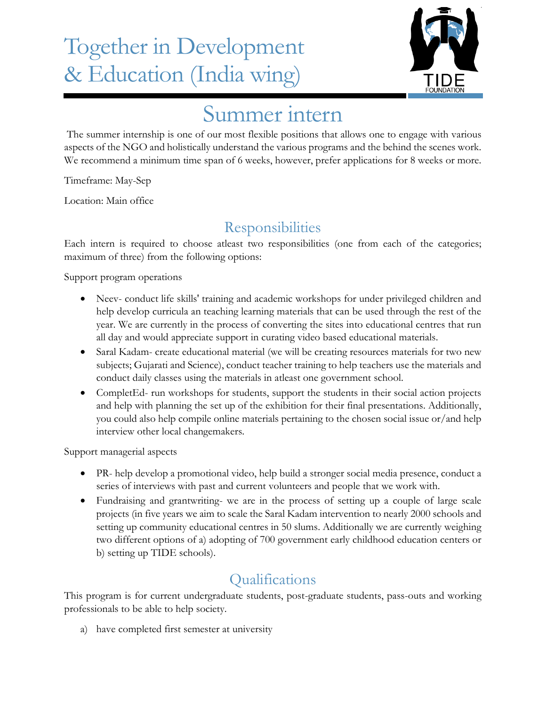## Together in Development & Education (India wing)



## Summer intern

The summer internship is one of our most flexible positions that allows one to engage with various aspects of the NGO and holistically understand the various programs and the behind the scenes work. We recommend a minimum time span of 6 weeks, however, prefer applications for 8 weeks or more.

Timeframe: May-Sep

Location: Main office

## **Responsibilities**

Each intern is required to choose atleast two responsibilities (one from each of the categories; maximum of three) from the following options:

Support program operations

- Neev- conduct life skills' training and academic workshops for under privileged children and help develop curricula an teaching learning materials that can be used through the rest of the year. We are currently in the process of converting the sites into educational centres that run all day and would appreciate support in curating video based educational materials.
- Saral Kadam- create educational material (we will be creating resources materials for two new subjects; Gujarati and Science), conduct teacher training to help teachers use the materials and conduct daily classes using the materials in atleast one government school.
- CompletEd- run workshops for students, support the students in their social action projects and help with planning the set up of the exhibition for their final presentations. Additionally, you could also help compile online materials pertaining to the chosen social issue or/and help interview other local changemakers.

Support managerial aspects

- PR- help develop a promotional video, help build a stronger social media presence, conduct a series of interviews with past and current volunteers and people that we work with.
- Fundraising and grantwriting- we are in the process of setting up a couple of large scale projects (in five years we aim to scale the Saral Kadam intervention to nearly 2000 schools and setting up community educational centres in 50 slums. Additionally we are currently weighing two different options of a) adopting of 700 government early childhood education centers or b) setting up TIDE schools).

## Qualifications

This program is for current undergraduate students, post-graduate students, pass-outs and working professionals to be able to help society.

a) have completed first semester at university